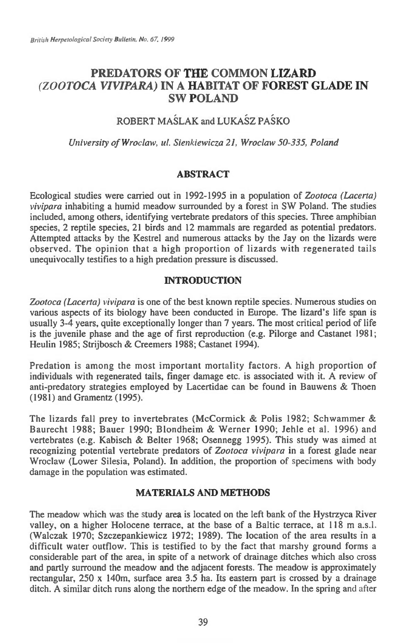# **PREDATORS OF THE COMMON LIZARD**  *(ZOOTOCA VIVIPARA)* **IN A HABITAT OF FOREST GLADE IN SW POLAND**

# ROBERT MASLAK and LUKASZ PASKO

*University of Wroclaw, ul. Sienkiewicza 21, Wroclaw 50-335, Poland* 

### **ABSTRACT**

Ecological studies were carried out in 1992-1995 in a population of *Zootoca (Lacerta) vivipara* inhabiting a humid meadow surrounded by a forest in SW Poland. The studies included, among others, identifying vertebrate predators of this species. Three amphibian species, 2 reptile species, 21 birds and 12 mammals are regarded as potential predators. Attempted attacks by the Kestrel and numerous attacks by the Jay on the lizards were observed. The opinion that a high proportion of lizards with regenerated tails unequivocally testifies to a high predation pressure is discussed.

## **INTRODUCTION**

Zootoca (Lacerta) vivipara is one of the best known reptile species. Numerous studies on various aspects of its biology have been conducted in Europe. The lizard's life span is usually 3-4 years, quite exceptionally longer than 7 years. The most critical period of life is the juvenile phase and the age of first reproduction (e.g. Pilorge and Castanet 1981; Heulin 1985; Strijbosch & Creemers 1988; Castanet 1994).

Predation is among the most important mortality factors. A high proportion of individuals with regenerated tails, finger damage etc. is associated with it. A review of anti-predatory strategies employed by Lacertidae can be found in Bauwens & Thoen (1981) and Gramentz (1995).

The lizards fall prey to invertebrates (McCormick & Polis 1982; Schwammer & Baurecht 1988; Bauer 1990; Blondheim & Werner 1990; Jehle et al. 1996) and vertebrates (e.g. Kabisch & Belter 1968; Osennegg 1995). This study was aimed at recognizing potential vertebrate predators of *Zootoca vivipara in* a forest glade near Wroclaw (Lower Silesia, Poland). In addition, the proportion of specimens with body damage in the population was estimated.

### **MATERIALS AND METHODS**

The meadow which was the study area is located on the left bank of the Hystrzyca River valley, on a higher Holocene terrace, at the base of a Baltic terrace, at 118 m a.s.l. (Walczak 1970; Szczepankiewicz 1972; 1989). The location of the area results in a difficult water outflow. This is testified to by the fact that marshy ground forms a considerable part of the area, in spite of a network of drainage ditches which also cross and partly surround the meadow and the adjacent forests. The meadow is approximately rectangular,  $250 \times 140$ m, surface area  $3.5$  ha. Its eastern part is crossed by a drainage ditch. A similar ditch runs along the northern edge of the meadow. In the spring and after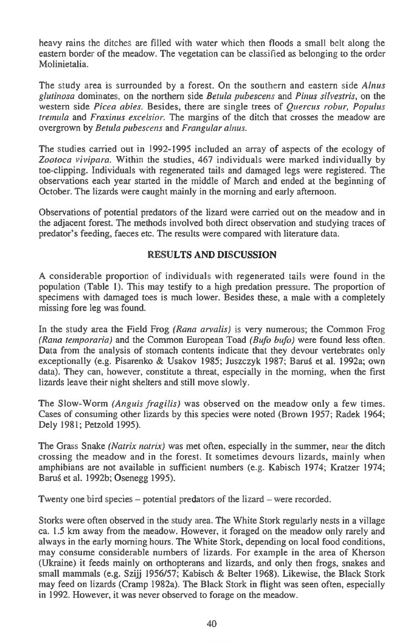heavy rains the ditches are filled with water which then floods a small belt along the eastern border of the meadow. The vegetation can be classified as belonging to the order Molinietalia.

The study area is surrounded by a forest. On the southern and eastern side *Alnus glutinosa* dominates, on the northern side *Betula pubescens* and *Pinus silvestris,* on the western side *Picea abies.* Besides, there are single trees of *Quercus robur, Populus tremula* and *Fraxinus excelsior.* The margins of the ditch that crosses the meadow are overgrown by *Betula pubescens* and *Frangular alnus.* 

The studies carried out in 1992-1995 included an array of aspects of the ecology of *Zootoca vivipara.* Within the studies, 467 individuals were marked individually by toe-clipping. Individuals with regenerated tails and damaged legs were registered. The observations each year started in the middle of March and ended at the beginning of October. The lizards were caught mainly in the morning and early afternoon.

Observations of potential predators of the lizard were carried out on the meadow and in the adjacent forest. The methods involved both direct observation and studying traces of predator's feeding, faeces etc. The results were compared with literature data.

## **RESULTS AND DISCUSSION**

A considerable proportion of individuals with regenerated tails were found in the population (Table 1). This may testify to a high predation pressure. The proportion of specimens with damaged toes is much lower. Besides these, a male with a completely missing fore leg was found.

In the study area the Field Frog *(Rana arvalis)* is very numerous; the Common Frog *(Rana temporaria)* and the Common European Toad *(Bitfo bufo)* were found less often. Data from the analysis of stomach contents indicate that they devour vertebrates only exceptionally (e.g. Pisarenko & Usakov 1985; Juszczyk 1987; Baruś et al. 1992a; own data). They can, however, constitute a threat, especially in the morning, when the first lizards leave their night shelters and still move slowly.

The Slow-Worm *(Anguis fragilis)* was observed on the meadow only a few times. Cases of consuming other lizards by this species were noted (Brown 1957; Radek 1964; Dely 1981; Petzold 1995).

The Grass Snake *(Natrix natrix)* was met often, especially in the summer, near the ditch crossing the meadow and in the forest. It sometimes devours lizards, mainly when amphibians are not available in sufficient numbers (e.g. Kabisch 1974; Kratzer 1974; Baru§ et al. 1992b; Osenegg 1995).

Twenty one bird species — potential predators of the lizard — were recorded.

Storks were often observed in the study area. The White Stork regularly nests in a village ca. 1.5 km away from the meadow. However, it foraged on the meadow only rarely and always in the early morning hours. The White Stork, depending on local food conditions, may consume considerable numbers of lizards. For example in the area of Kherson (Ukraine) it feeds mainly on orthopterans and lizards, and only then frogs, snakes and small mammals (e.g. Szijj 1956/57; Kabisch & Belter 1968). Likewise, the Black Stork may feed on lizards (Cramp 1982a). The Black Stork in flight was seen often, especially in 1992. However, it was never observed to forage on the meadow.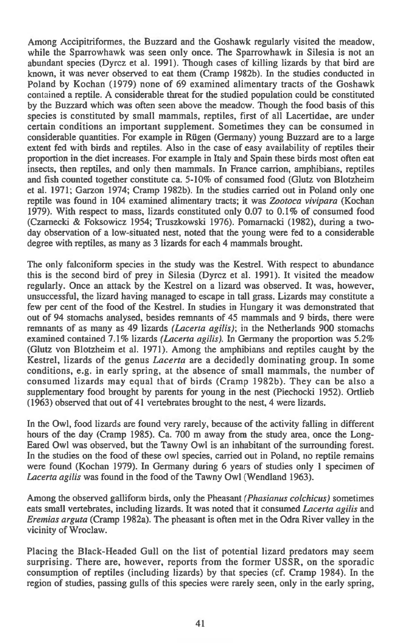**Among Accipitriformes, the Buzzard and the Goshawk regularly visited the meadow, while the Sparrowhawk was seen only once. The Sparrowhawk in Silesia is not an abundant species (Dyrcz et al. 1991). Though cases of killing lizards by that bird are known, it was never observed to eat them (Cramp 1982b). In the studies conducted in Poland by Kochan (1979) none of 69 examined alimentary tracts of the Goshawk contained a reptile. A considerable threat for the studied population could be constituted by the Buzzard which was often seen above the meadow. Though the food basis of this species is constituted by small mammals, reptiles, first of all Lacertidae, are under certain conditions an important supplement. Sometimes they can be consumed in considerable quantities. For example in Rugen (Germany) young Buzzard are to a large extent fed with birds and reptiles. Also in the case of easy availability of reptiles their proportion in the diet increases. For example in Italy and Spain these birds most often eat insects, then reptiles, and only then mammals. In France carrion, amphibians, reptiles and fish counted together constitute ca. 5-10% of consumed food (Glutz von Blotzheim et al. 1971; Garzon 1974; Cramp 1982b). In the studies carried out in Poland only one reptile was found in 104 examined alimentary tracts; it was** *Zootoca vivipara* **(Kochan 1979). With respect to mass, lizards constituted only 0.07 to 0.1% of consumed food**  (Czarnecki & Foksowicz 1954; Truszkowski 1976). Pomarnacki (1982), during a two**day observation of a low-situated nest, noted that the young were fed to a considerable degree with reptiles, as many as 3 lizards for each 4 mammals brought.** 

**The only falconiform species in the study was the Kestrel. With respect to abundance this is the second bird of prey in Silesia (Dyrcz et al. 1991). It visited the meadow regularly. Once an attack by the Kestrel on a lizard was observed. It was, however, unsuccessful, the lizard having managed to escape in tall grass. Lizards may constitute a few per cent of the food of the Kestrel. In studies in Hungary it was demonstrated that out of 94 stomachs analysed, besides remnants of 45 mammals and 9 birds, there were remnants of as many as 49 lizards** *(Lacerta agilis);* **in the Netherlands 900 stomachs examined contained 7.1% lizards** *(Lacerta agilis).* **In Germany the proportion was 5.2% (Glutz von Blotzheim et al. 1971). Among the amphibians and reptiles caught by the Kestrel, lizards of the genus** *Lacerta are* **a decidedly dominating group. In some conditions, e.g. in early spring, at the absence of small mammals, the number of consumed lizards may equal that of birds (Cramp 1982b). They can be also a supplementary food brought by parents for young in the nest (Piechocki 1952). Ortlieb (1963) observed that out of 41 vertebrates brought to the nest, 4 were lizards.** 

**In the Owl, food lizards are found very rarely, because of the activity falling in different hours of the day (Cramp 1985). Ca. 700 m away from the study area, once the Long-Eared Owl was observed, but the Tawny Owl is an inhabitant of the surrounding forest. In the studies on the food of these owl species, carried out in Poland, no reptile remains were found (Kochan 1979). In Germany during 6 years of studies only 1 specimen of**  *Lacerta agilis* **was found in the food of the Tawny Owl (Wendland 1963).** 

**Among the observed galliform birds, only the Pheasant** *(Phasianus colchicus)* **sometimes eats small vertebrates, including lizards. It was noted that it consumed** *Lacerta agilis* **and**  *Eremias arguta* (Cramp 1982a). The pheasant is often met in the Odra River valley in the **vicinity of Wroclaw.** 

**Placing the Black-Headed Gull on the list of potential lizard predators may seem surprising. There are, however, reports from the former USSR, on the sporadic consumption of reptiles (including lizards) by that species (cf. Cramp 1984). In the region of studies, passing gulls of this species were rarely seen, only in the early spring,**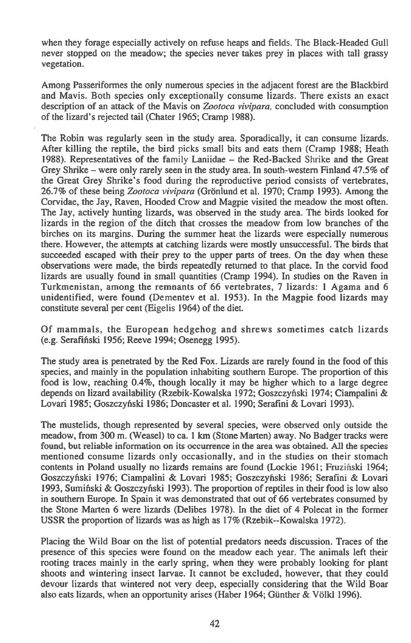when they forage especially actively on refuse heaps and fields. The Black-Headed Gull never stopped on the meadow; the species never takes prey in places with tall grassy vegetation.

Among Passeriformes the only numerous species in the adjacent forest are the Blackbird and Mavis. Both species only exceptionally consume lizards. There exists an exact description of an attack of the Mavis on *Zootoca vivipara,* concluded with consumption of the lizard's rejected tail (Chater 1965; Cramp 1988).

The Robin was regularly seen in the study area. Sporadically, it can consume lizards. After killing the reptile, the bird picks small bits and eats them (Cramp 1988; Heath 1988). Representatives of the family Laniidae — the Red-Backed Shrike and the Great Grey Shrike — were only rarely seen in the study area. In south-western Finland 47.5% of the Great Grey Shrike's food during the reproductive period consists of vertebrates, 26.7% of these being *Zootoca vivipara* (Gronlund et al. 1970; Cramp 1993). Among the Corvidae, the Jay, Raven, Hooded Crow and Magpie visited the meadow the most often. The Jay, actively hunting lizards, was observed in the study area. The birds looked for lizards in the region of the ditch that crosses the meadow from low branches of the birches on its margins. During the summer heat the lizards were especially numerous there. However, the attempts at catching lizards were mostly unsuccessful. The birds that succeeded escaped with their prey to the upper parts of trees. On the day when these observations were made, the birds repeatedly returned to that place. In the corvid food lizards are usually found in small quantities (Cramp 1994). In studies on the Raven in Turkmenistan, among the remnants of 66 vertebrates, 7 lizards: 1 Agama and 6 unidentified, were found (Dementev et al. 1953). In the Magpie food lizards may constitute several per cent (Eigelis 1964) of the diet.

Of mammals, the European hedgehog and shrews sometimes catch lizards (e.g. Serafinski 1956; Reeve 1994; Osenegg 1995).

The study area is penetrated by the Red Fox. Lizards are rarely found in the food of this species, and mainly in the population inhabiting southern Europe. The proportion of this food is low, reaching 0.4%, though locally it may be higher which to a large degree depends on lizard availability (Rzebik-Kowalska 1972; Goszczytiski 1974; Ciampalini & Lovari 1985; Goszczyfiski 1986; Doncaster et al. 1990; Serafini & Lovari 1993).

The mustelids, though represented by several species, were observed only outside the meadow, from 300 m. (Weasel) to ca. 1 km (Stone Marten) away. No Badger tracks were found, but reliable information on its occurrence in the area was obtained. All the species mentioned consume lizards only occasionally, and in the studies on their stomach contents in Poland usually no lizards remains are found (Lockie 1961; Fruzihski 1964; Goszczyfiski 1976; Ciampalini & Lovari 1985; Goszczyfiski 1986; Serafini & Lovari 1993, Sumiński & Goszczyński 1993). The proportion of reptiles in their food is low also in southern Europe. In Spain it was demonstrated that out of 66 vertebrates consumed by the Stone Marten 6 were lizards (Delibes 1978). In the diet of 4 Polecat in the former USSR the proportion of lizards was as high as 17% (Rzebik--Kowalska 1972).

Placing the Wild Boar on the list of potential predators needs discussion. Traces of the presence of this species were found on the meadow each year. The animals left their rooting traces mainly in the early spring, when they were probably looking for plant shoots and wintering insect larvae. It cannot be excluded, however, that they could devour lizards that wintered not very deep, especially considering that the Wild Boar also eats lizards, when an opportunity arises (Haber 1964; Gunther & Volkl 1996).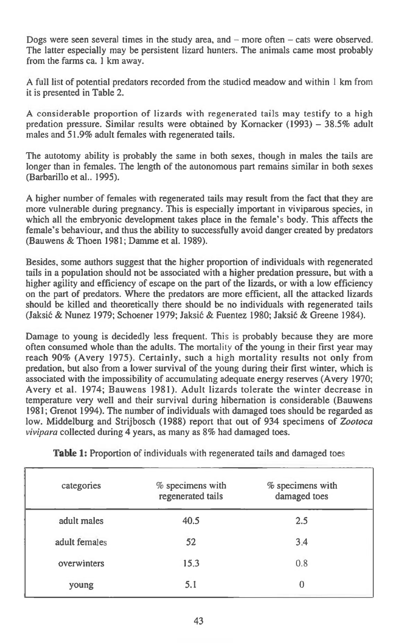Dogs were seen several times in the study area, and — more often — cats were observed. The latter especially may be persistent lizard hunters. The animals came most probably from the farms ca. 1 km away.

A full list of potential predators recorded from the studied meadow and within 1 km from it is presented in Table 2.

A considerable proportion of lizards with regenerated tails may testify to a high predation pressure. Similar results were obtained by Kornacker (1993) — 38.5% adult males and 51.9% adult females with regenerated tails.

The autotomy ability is probably the same in both sexes, though in males the tails are longer than in females. The length of the autonomous part remains similar in both sexes (Barbarillo et al.. 1995).

A higher number of females with regenerated tails may result from the fact that they are more vulnerable during pregnancy. This is especially important in viviparous species, in which all the embryonic development takes place in the female's body. This affects the female's behaviour, and thus the ability to successfully avoid danger created by predators (Bauwens & Thoen 1981; Damme et al. 1989).

Besides, some authors suggest that the higher proportion of individuals with regenerated tails in a population should not be associated with a higher predation pressure, but with a higher agility and efficiency of escape on the part of the lizards, or with a low efficiency on the part of predators. Where the predators are more efficient, all the attacked lizards should be killed and theoretically there should be no individuals with regenerated tails (Jaksić & Nunez 1979; Schoener 1979; Jaksić & Fuentez 1980; Jaksić & Greene 1984).

Damage to young is decidedly less frequent. This is probably because they are more often consumed whole than the adults. The mortality of the young in their first year may reach 90% (Avery 1975). Certainly, such a high mortality results not only from predation, but also from a lower survival of the young during their first winter, which is associated with the impossibility of accumulating adequate energy reserves (Avery 1970; Avery et al. 1974; Bauwens 1981). Adult lizards tolerate the winter decrease in temperature very well and their survival during hibernation is considerable (Bauwens 1981; Grenot 1994). The number of individuals with damaged toes should be regarded as low. Middelburg and Strijbosch (1988) report that out of 934 specimens of *Zootoca vivipara* collected during 4 years, as many as 8% had damaged toes.

| categories    | % specimens with<br>regenerated tails | $%$ specimens with<br>damaged toes |
|---------------|---------------------------------------|------------------------------------|
| adult males   | 40.5                                  | 2.5                                |
| adult females | 52                                    | 3.4                                |
| overwinters   | 15.3                                  | 0.8                                |
| young         | 5.1                                   |                                    |

**Table 1:** Proportion of individuals with regenerated tails and damaged toes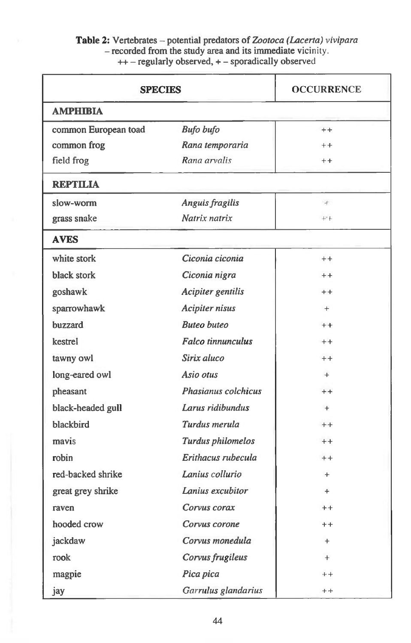### **Table 2:** Vertebrates — potential predators of *Zootoca (Lacerta) vivipara*  — recorded from the study area and its immediate **vicinity. ++ —** regularly observed, + — sporadically observed

| <b>SPECIES</b>       |                            | <b>OCCURRENCE</b> |
|----------------------|----------------------------|-------------------|
| <b>AMPHIBIA</b>      |                            |                   |
| common European toad | <b>Bufo bufo</b>           | $++$              |
| common frog          | Rana temporaria            | $+ +$             |
| field frog           | Rana arvalis               | $+ +$             |
| <b>REPTILIA</b>      |                            |                   |
| slow-worm            | Anguis fragilis            | $+$               |
| grass snake          | Natrix natrix              | $++$              |
| <b>AVES</b>          |                            |                   |
| white stork          | Ciconia ciconia            | $+ +$             |
| black stork          | Ciconia nigra              | $+ +$             |
| goshawk              | Acipiter gentilis          | $++$              |
| sparrowhawk          | <b>Acipiter nisus</b>      | $+$               |
| buzzard              | <b>Buteo</b> buteo         | $++$              |
| kestrel              | <b>Falco tinnunculus</b>   | $+ +$             |
| tawny owl            | Sirix aluco                | $+ +$             |
| long-eared owl       | Asio otus                  | $+$               |
| pheasant             | <b>Phasianus colchicus</b> | $++$              |
| black-headed gull    | Larus ridibundus           | $+$               |
| blackbird            | Turdus merula              | $+$               |
| mavis                | Turdus philomelos          | $++$              |
| robin                | Erithacus rubecula         | $++$              |
| red-backed shrike    | Lanius collurio            | $+$               |
| great grey shrike    | Lanius excubitor           | $+$               |
| raven                | Corvus corax               | $^+$              |
| hooded crow          | Corvus corone              | $^{++}$           |
| jackdaw              | Corvus monedula            | $+$               |
| rook                 | Corvus frugileus           | $+$               |
| magpie               | Pica pica                  | $^{++}$           |
| jay                  | Garrulus glandarius        | $+ +$             |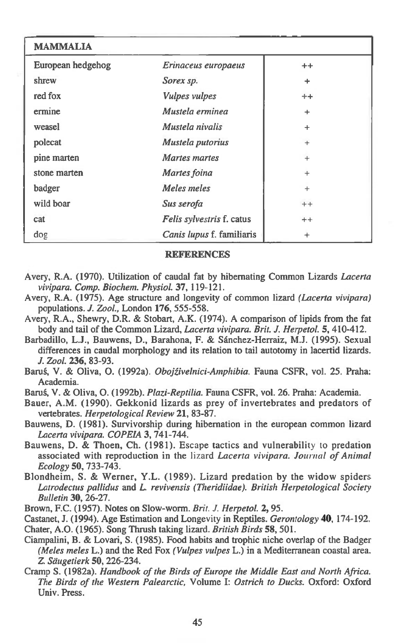| <b>MAMMALIA</b>   |                           |           |
|-------------------|---------------------------|-----------|
| European hedgehog | Erinaceus europaeus       | $^{++}$   |
| shrew             | Sorex sp.                 | $\ddot{}$ |
| red fox           | <b>Vulpes vulpes</b>      | $+ +$     |
| ermine            | Mustela erminea           | ÷         |
| weasel            | Mustela nivalis           | $\ddot{}$ |
| polecat           | Mustela putorius          | $\ddot{}$ |
| pine marten       | Martes martes             | $+$       |
| stone marten      | Martes foina              | $+$       |
| badger            | Meles meles               | $+$       |
| wild boar         | Sus serofa                | $++$      |
| cat               | Felis sylvestris f. catus | $+ +$     |
| dog               | Canis lupus f. familiaris | $\ddot{}$ |

#### **REFERENCES**

- **Avery, R.A. (1970). Utilization of caudal fat by hibernating Common Lizards** *Lacerta vivipara. Comp. Biochem. Physiol.* **37, 119-121.**
- **Avery, R.A. (1975). Age structure and longevity of common lizard** *(Lacerta vivipara)*  **populations.** *J. Zool.,* **London 176, 555-558.**
- **Avery, R.A., Shewry, D.R. & Stobart, A.K. (1974). A comparison of lipids from the fat body and tail of the Common Lizard,** *Lacerta vivipara. Brit. J. Herpetol.* **5, 410-412.**
- **Barbadillo, L.J., Bauwens, D., Barahona, F. & Sanchez-Herraiz, M.J. (1995). Sexual differences in caudal morphology and its relation to tail autotomy in lacertid lizards.**  *J. Zool.* **236, 83-93.**
- **Bard, V. & Oliva, 0. (1992a).** *Obojtivelnici-Amphibia.* **Fauna CSFR, vol. 25. Praha: Academia.**
- **Barug, V. & Oliva, 0. (1992b).** *Plazi-Reptilia.* **Fauna CSFR, vol. 26. Praha: Academia.**
- **Bauer, A.M. (1990). Gekkonid lizards as prey of invertebrates and predators of vertebrates.** *Herpetological Review* **21, 83-87.**
- **Bauwens, D. (1981). Survivorship during hibernation in the european common lizard**  *Lacerta vivipara. COPEIA* **3, 741-744.**
- **Bauwens, D. & Thoen, Ch. (1981). Escape tactics and vulnerability** to **predation associated with reproduction in the** lizard *Lacerta vivipara. Journal of Animal Ecology* **50, 733-743.**
- **Blondheim, S. & Werner, Y.L. (1989). Lizard predation by the widow spiders**  *Latrodectus pallidus* **and** *L. revivensis (Theridiidae). British Herpetological Society Bulletin* **30, 26-27.**
- **Brown, F.C. (1957). Notes on Slow-worm.** *Brit. J. Herpetol.* **2, 95.**
- **Castanet, J. (1994). Age Estimation and Longevity in Reptiles.** *Gerontology* **40, 174-192. Chater, A.O. (1965). Song Thrush taking lizard.** *British Birds* **58, 501.**
- **Ciampalini, B. & Lovari, S. (1985). Food habits and trophic niche overlap of the Badger**  *(Meles meles* **L.) and the Red Fox** *(Vulpes vulpes* **L.) in a Mediterranean coastal area. 1** *Saugetierk* **50, 226-234.**
- **Cramp S. (1982a).** *Handbook of the Birds of Europe the Middle East and North Africa. The Birds of the Western Palearctic,* **Volume I:** *Ostrich to Ducks.* **Oxford: Oxford Univ. Press.**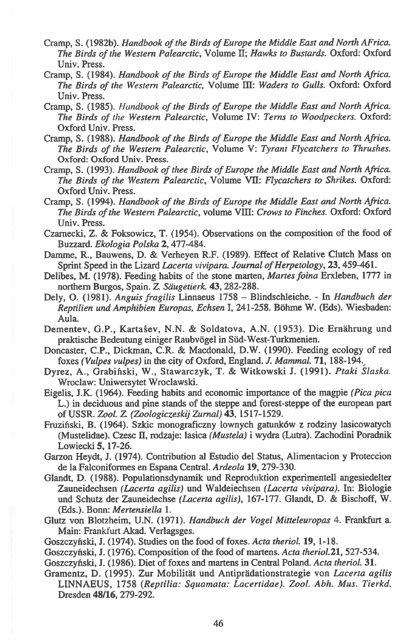- Cramp, S. (1982b). *Handbook of the Birds of Europe the Middle East and North AFrica. The Birds of the Western Palearctic,* Volume II; *Hawks to Bustards.* Oxford: Oxford Univ. Press.
- Cramp, S. (1984). *Handbook of the Birds of Europe the Middle East and North Africa. The Birds of the Western Palearctic,* Volume **III:** *Waders to Gulls.* Oxford: Oxford Univ. Press.
- Cramp, S. (1985). *Handbook of the Birds of Europe the Middle East and North Africa. The Birds of the Western Palearctic,* Volume IV: *Terns to Woodpeckers.* Oxford: Oxford Univ. Press.
- Cramp, S. (1988). *Handbook of the Birds of Europe the Middle East and North Africa. The Birds of the Western Palearctic,* Volume V: *Tyrant Flycatchers to Thrushes.*  Oxford: Oxford Univ. Press.
- Cramp, S. (1993). *Handbook of thee Birds of Europe the Middle East and North Africa. The Birds of the Western Palearctic,* Volume VII: *Flycatchers to Shrikes.* Oxford: Oxford Univ. Press.
- Cramp, S. (1994). *Handbook of the Birds of Europe the Middle East and North Africa. The Birds of the Western Palearctic,* volume VIII *Crows to Finches.* Oxford: Oxford Univ. Press.
- Czarnecki, Z. & Foksowicz, T. (1954). Observations on the composition of the food of Buzzard. *Ekologia Polska* **2,** 477-484.
- Damme, R., Bauwens, D. & Verheyen R.F. (1989). Effect of Relative Clutch Mass on Sprint Speed in the Lizard *Lacerta vivipara. Journal of Herpetology,* **23,** 459-461.
- Delibes, M. (1978). Feeding habits of the stone marten, *Martes foina* Erxleben, 1777 in northern Burgos, Spain. Z *Stiugetierk.* **43,** 282-288.
- Dely, **0.** (1981). *Anguis fragilis* Linnaeus 1758 Blindschleiche. In *Handbuch der Reptilien und Amphibien Europas, Echsen* I, 241-258. Bohme W. (Eds). Wiesbaden: Aula.
- Dementev, G.P., Karta§ev, N.N. & Soldatova, A.N. (1953). Die Ernahrung und praktische Bedeutung einiger Raubvögel in Süd-West-Turkmenien.
- Doncaster, C.P., Dickman, C.R. & Macdonald, D.W. (1990). Feeding ecology of red foxes *(Vulpes vulpes)* in the city of Oxford, England. *J. Mammal.* **71,** 188-194,
- Dyrez, A., Grabinski, W., Stawarczyk, T. & Witkowski J. (1991). *Ptaki Slaska.*  Wroclaw: Uniwersytet Wroclawski.
- Eigelis, J.K. (1964). Feeding habits and economic importance of the *magpie (Pica pica*  L.) in deciduous and pine stands of the steppe and forest-steppe of the european part of USSR. *Zool.* Z. *(Zoologiczeskij Zurnal)* **43,** 1517-1529.
- Fruzinski, B. (1964). Szkic monograficzny lownych gatunk6w z rodziny lasicowatych (Mustelidae). Czesc II, rodzaje: lasica *(Mustela)* i wydra (Lutra). Zachodini Poradnik Lowiecki **5,** 17-26.
- Garzon Heydt, J. (1974). Contribution al Estudio del Status, Alimentacion y Proteccion de la Falconiformes en Espana Central. *Ardeola* **19,** 279-330.
- Glandt, D. (1988). Populationsdynamik und Reproduktion experimentell angesiedelter Zauneidechsen *(Lacerta agilis)* und Waldeiechsen *(Lacerta vivipara).* In: Biologie und Schutz der Zauneidechse *(Lacerta agilis),* 167-177. Glandt, D. & Bischoff, W. (Eds.). Bonn: *Mertensiella* 1.
- Glutz von Blotzheim, U.N. (1971). *Handbuch der Vogel Mitteleuropas* 4. Frankfurt a. Main: Frankfurt Akad. Verlagsges.
- Goszczyliski, J. (1974). Studies on the food of foxes. *Acta theriol.* **19,** 1-18.
- Goszczyński, J. (1976). Composition of the food of martens. *Acta theriol.* 21, 527-534.
- Goszczyfiski, J. (1986). Diet of foxes and martens in Central Poland. *Acta theriol.* **31.**
- Gramentz, D. (1995). Zur Mobilitat und Antipradationstrategie von *Lacerta agilis*  LINNAEUS, 1758 *(Reptilia: Squamata: Lacertidae). Zool. Abh. Mus. Tierkd.*  Dresden **48/16,** 279-292.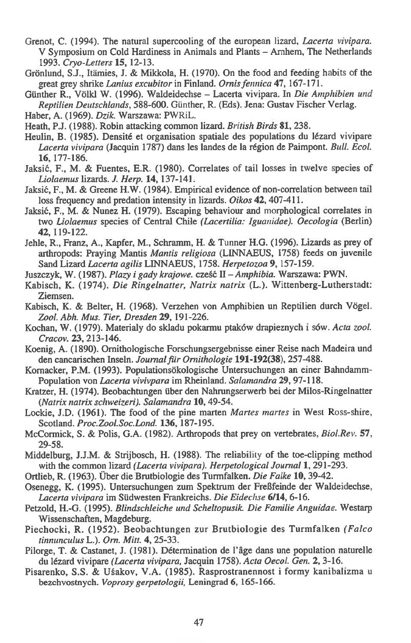- Grenot, C. (1994). The natural supercooling of the european lizard, *Lacerta vivipara.*  V Symposium on Cold Hardiness in Animals and Plants - Arnhem, The Netherlands 1993. *Cryo -Letters* **15,** 12-13.
- Grönlund, S.J., Itämies, J. & Mikkola, H. (1970). On the food and feeding habits of the great grey shrike *Lanius excubitor* in Finland. *Ornis fennica* **47,** 167-171.
- Gunther R., Volkl W. (1996). Waldeidechse Lacerta vivipara. In *Die Amphibien und Reptilien Deutschlands,* 588-600. Gunther, R. (Eds). Jena: Gustav Fischer Verlag.
- Haber, A. (1969). *Dzik.* Warszawa: PWRiL.
- Heath, P.J. (1988). Robin attacking common lizard. *British Birds* **81,** 238.
- Heulin, B. (1985). Densité et organisation spatiale des populations du lézard vivipare *Lacerta vivipara* (Jacquin 1787) dans les landes de la region de Paimpont. Bull. *Ecol.*  **16,** 177-186.
- Jaksić, F., M. & Fuentes, E.R. (1980). Correlates of tail losses in twelve species of *Liolaemus* lizards. *J. Herp.* **14,** 137-141.
- Jaksić, F., M. & Greene H.W. (1984). Empirical evidence of non-correlation between tail loss frequency and predation intensity in lizards. *Oikos* **42,** 407-411.
- Jaksić, F., M. & Nunez H. (1979). Escaping behaviour and morphological correlates in two *Liolaemus* species of Central Chile *(Lacertilia: Iguanidae). Oecologia* (Berlin) **42,** 119-122.
- Jehle, R., Franz, A., Kapfer, M., Schramm, H. & Tunner H.G. (1996). Lizards as prey of arthropods: Praying Mantis *Mantis religiosa* (LINNAEUS, 1758) feeds on juvenile Sand Lizard *Lacerta agilis* LINNAEUS, 1758. *Herpetozoa* **9,** 157-159.
- Juszczyk, W. (1987). *Plazy i gady krajowe.* cześć II *Amphibia.* Warszawa: PWN.
- Kabisch, K. (1974). *Die Ringelnatter, Natrix natrix* (L.). Wittenberg-Lutherstadt: Ziemsen.
- Kabisch, K. & Belter, H. (1968). Verzehen von Amphibien un Reptilien durch Vogel. *Zool. Abh. Mus. Tier, Dresden* **29,** 191-226.
- Kochan, W. (1979). Materialy do skladu pokarmu ptaków drapieznych i sów. *Acta zool. Cracov.* **23,** 213-146.
- Koenig, A. (1890). Ornithologische Forschungsergebnisse einer Reise nach Madeira und den cancarischen Inseln. *Journal fir Ornithologie* **191-192(38),** 257-488.
- Kornacker, P.M. (1993). Populationsökologische Untersuchungen an einer Bahndamm-Population von *Lacerta vivivpara* im Rheinland. *Salamandra* **29,** 97-118.
- Kratzer, H. (1974). Beobachtungen fiber den Nahrungserwerb bei der Milos-Ringelnatter *(Natrix natrix schweizeri). Salamandra* **10,** 49-54.
- Lockie, J.D. (1961). The food of the pine marten *Martes mantes* in West Ross-shire, Scotland. *Proc.Zool.Soc.Lond.* **136,** 187-195.
- McCormick, S. & Polis, G.A. (1982). Arthropods that prey on vertebrates, *Biol.Rev.* **57,**  29-58.
- Middelburg, J.J.M. & Strijbosch, H. (1988). The reliability of the toe-clipping method with the common lizard *(Lacerta vivipara). Herpetological Journal 1,* 291-293.
- Ortlieb, R. (1963). Uber die Brutbiologie des Turmfalken. *Die Falke* **10,** 39-42.
- Osenegg, K. (1995). Untersuchungen zum Spektrum der FreSfeinde der Waldeidechse, *Lacerta vivipara* im Siidwesten Frankreichs. *Die Eidechse* **6/14,** 6-16.
- Petzold, H.-G. (1995). *Blindschleiche und Scheltopusik. Die Familie Anguidae.* Westarp Wissenschaften, Magdeburg.
- Piechocki, R. (1952). Beobachtungen zur Brutbiologie des Turmfalken *(Falco tinnunculus* L.). *Orn. Mitt.* **4,** 25-33.
- Pilorge, T. & Castanet, J. (1981). Détermination de l'âge dans une population naturelle du lezard vivipare *(Lacerta vivipara,* Jacquin 1758). *Acta Oecol. Gen.* **2,** 3-16.
- Pisarenko, S.S. & U§akov, V.A. (1985). Rasprostranennost i formy kanibalizma u bezchvostnych. *Voprosy gerpetologii,* Leningrad **6,** 165-166.